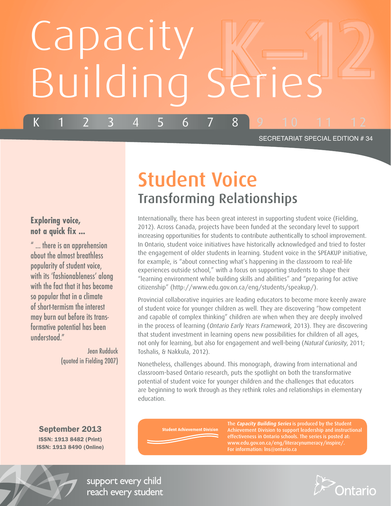# Capacity Building Series K 1 2 3 4 5 6 7 8 9 10 11 12

#### SECRETARIAT SPECIAL EDITION # 34

## Student Voice Transforming Relationships

Internationally, there has been great interest in supporting student voice (Fielding, 2012). Across Canada, projects have been funded at the secondary level to support increasing opportunities for students to contribute authentically to school improvement. In Ontario, student voice initiatives have historically acknowledged and tried to foster the engagement of older students in learning. Student voice in the SPEAKUP initiative, for example, is "about connecting what's happening in the classroom to real-life experiences outside school," with a focus on supporting students to shape their "learning environment while building skills and abilities" and "preparing for active citizenship" (http://www.edu.gov.on.ca/eng/students/speakup/).

Provincial collaborative inquiries are leading educators to become more keenly aware of student voice for younger children as well. They are discovering "how competent and capable of complex thinking" children are when when they are deeply involved in the process of learning (Ontario Early Years Framework, 2013). They are discovering that student investment in learning opens new possibilities for children of all ages, not only for learning, but also for engagement and well-being (Natural Curiosity, 2011; Toshalis, & Nakkula, 2012).

Nonetheless, challenges abound. This monograph, drawing from international and classroom-based Ontario research, puts the spotlight on both the transformative potential of student voice for younger children and the challenges that educators are beginning to work through as they rethink roles and relationships in elementary education.

September 2013

Jean Rudduck

(quoted in Fielding 2007)

**Exploring voice, not a quick fix ...** 

understood."

" … there is an apprehension about the almost breathless popularity of student voice, with its 'fashionableness' along with the fact that it has become so popular that in a climate of short-termism the interest may burn out before its transformative potential has been

ISSN: 1913 8482 (Print) ISSN: 1913 8490 (Online) **Student Achievement Division** 

The **Capacity Building Series** is produced by the Student Achievement Division to support leadership and instructional effectiveness in Ontario schools. The series is posted at: www.edu.gov.on.ca/eng/literacynumeracy/inspire/. For information: lns@ontario.ca



support every child reach every student

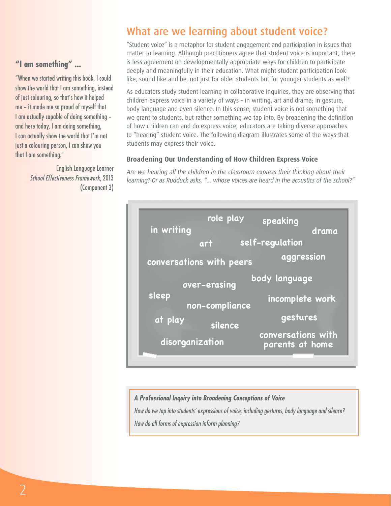### **"I am something" ... "I am something" ...**

"When we started writing this book, I could "When we started writing this book, I could show the world that I am something, instead show the world that I am something, instead of just colouring, so that's how it helped of just colouring, so that's how it helped me – it made me so proud of myself that me – it made me so proud of myself that I am actually capable of doing something – I am actually capable of doing something – and here today, I am doing something, and here today, I am doing something, I can actually show the world that I'm not I can actually show the world that I'm not just a colouring person, I can show you just a colouring person, I can show you that I am something." that I am something."

> English Language Learner English Language Learner School Effectiveness Framework, 2013 School Effectiveness Framework, 2013 (Component 3) (Component 3)

## What are we learning about student voice? What are we learning about student voice?

"Student voice" is a metaphor for student engagement and participation in issues that "Student voice" is a metaphor for student engagement and participation in issues that matter to learning. Although practitioners agree that student voice is important, there matter to learning. Although practitioners agree that student voice is important, there is less agreement on developmentally appropriate ways for children to participate is less agreement on developmentally appropriate ways for children to participate deeply and meaningfully in their education. What might student participation look deeply and meaningfully in their education. What might student participation look like, sound like and be, not just for older students but for younger students as well? like, sound like and be, not just for older students but for younger students as well?

As educators study student learning in collaborative inquiries, they are observing that As educators study student learning in collaborative inquiries, they are observing that children express voice in a variety of ways – in writing, art and drama; in gesture, children express voice in a variety of ways – in writing, art and drama; in gesture, body language and even silence. In this sense, student voice is not something that body language and even silence. In this sense, student voice is not something that we grant to students, but rather something we tap into. By broadening the definition we grant to students, but rather something we tap into. By broadening the definition of how children can and do express voice, educators are taking diverse approaches of how children can and do express voice, educators are taking diverse approaches to "hearing" student voice. The following diagram illustrates some of the ways that to "hearing" student voice. The following diagram illustrates some of the ways that students may express their voice. students may express their voice.

#### **Broadening Our Understanding of How Children Express Voice Broadening Our Understanding of How Children Express Voice**

Are we hearing all the children in the classroom express their thinking about their Are we hearing all the children in the classroom express their thinking about their learning? Or as Rudduck asks, "... whose voices are heard in the acoustics of the school?" learning? Or as Rudduck asks, "... whose voices are heard in the acoustics of the school?"



#### *A Professional Inquiry into Broadening Conceptions of Voice A Professional Inquiry into Broadening Conceptions of Voice*

*How do we tap into students' expressions of voice, including gestures, body language and silence? How do we tap into students' expressions of voice, including gestures, body language and silence? How do all forms of expression inform planning? How do all forms of expression inform planning?*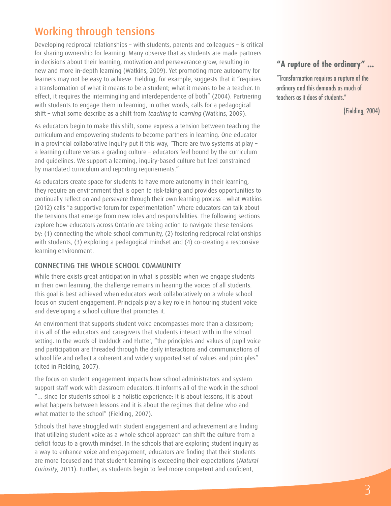## Working through tensions

Developing reciprocal relationships – with students, parents and colleagues – is critical for sharing ownership for learning. Many observe that as students are made partners in decisions about their learning, motivation and perseverance grow, resulting in new and more in-depth learning (Watkins, 2009). Yet promoting more autonomy for learners may not be easy to achieve. Fielding, for example, suggests that it "requires a transformation of what it means to be a student; what it means to be a teacher. In effect, it requires the intermingling and interdependence of both" (2004). Partnering with students to engage them in learning, in other words, calls for a pedagogical shift – what some describe as a shift from *teaching* to *learning* (Watkins, 2009).

As educators begin to make this shift, some express a tension between teaching the curriculum and empowering students to become partners in learning. One educator in a provincial collaborative inquiry put it this way, "There are two systems at play – a learning culture versus a grading culture – educators feel bound by the curriculum and guidelines. We support a learning, inquiry-based culture but feel constrained by mandated curriculum and reporting requirements."

As educators create space for students to have more autonomy in their learning, they require an environment that is open to risk-taking and provides opportunities to continually reflect on and persevere through their own learning process – what Watkins (2012) calls "a supportive forum for experimentation" where educators can talk about the tensions that emerge from new roles and responsibilities. The following sections explore how educators across Ontario are taking action to navigate these tensions by: (1) connecting the whole school community, (2) fostering reciprocal relationships with students, (3) exploring a pedagogical mindset and (4) co-creating a responsive learning environment.

#### CONNECTING THE WHOLE SCHOOL COMMUNITY

While there exists great anticipation in what is possible when we engage students in their own learning, the challenge remains in hearing the voices of all students. This goal is best achieved when educators work collaboratively on a whole school focus on student engagement. Principals play a key role in honouring student voice and developing a school culture that promotes it.

An environment that supports student voice encompasses more than a classroom; it is all of the educators and caregivers that students interact with in the school setting. In the words of Rudduck and Flutter, "the principles and values of pupil voice and participation are threaded through the daily interactions and communications of school life and reflect a coherent and widely supported set of values and principles" (cited in Fielding, 2007).

The focus on student engagement impacts how school administrators and system support staff work with classroom educators. It informs all of the work in the school "… since for students school is a holistic experience: it is about lessons, it is about what happens between lessons and it is about the regimes that define who and what matter to the school" (Fielding, 2007).

Schools that have struggled with student engagement and achievement are finding that utilizing student voice as a whole school approach can shift the culture from a deficit focus to a growth mindset. In the schools that are exploring student inquiry as a way to enhance voice and engagement, educators are finding that their students are more focused and that student learning is exceeding their expectations (Natural Curiosity, 2011). Further, as students begin to feel more competent and confident,

## **"A rupture of the ordinary" ...**

"Transformation requires a rupture of the ordinary and this demands as much of teachers as it does of students."

(Fielding, 2004)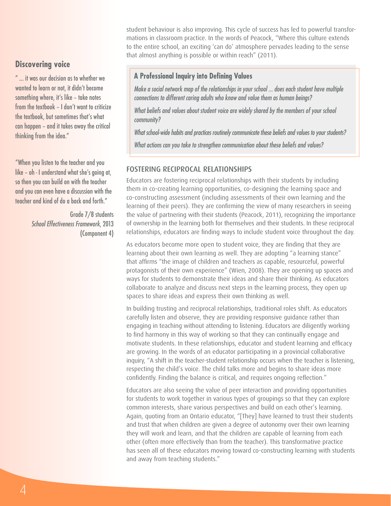student behaviour is also improving. This cycle of success has led to powerful transformations in classroom practice. In the words of Peacock, "Where this culture extends to the entire school, an exciting 'can do' atmosphere pervades leading to the sense that almost anything is possible or within reach" (2011).

#### **Discovering voice**

" ... it was our decision as to whether we wanted to learn or not, it didn't become something where, it's like – take notes from the textbook – I don't want to criticize the textbook, but sometimes that's what can happen – and it takes away the critical thinking from the idea."

"When you listen to the teacher and you like – oh - I understand what she's going at, so then you can build on with the teacher and you can even have a discussion with the teacher and kind of do a back and forth."

> Grade 7/8 students *School Effectiveness Framework*, 2013 (Component 4)

#### **A Professional Inquiry into Defining Values**

*Make a social network map of the relationships in your school ... does each student have multiple connections to different caring adults who know and value them as human beings?*

*What beliefs and values about student voice are widely shared by the members of your school community?*

*What school-wide habits and practices routinely communicate these beliefs and values to your students?*

*What actions can you take to strengthen communication about these beliefs and values?* 

#### FOSTERING RECIPROCAL RELATIONSHIPS

Educators are fostering reciprocal relationships with their students by including them in co-creating learning opportunities, co-designing the learning space and co-constructing assessment (including assessments of their own learning and the learning of their peers). They are confirming the view of many researchers in seeing the value of partnering with their students (Peacock, 2011), recognizing the importance of ownership in the learning both for themselves and their students. In these reciprocal relationships, educators are finding ways to include student voice throughout the day.

As educators become more open to student voice, they are finding that they are learning about their own learning as well. They are adopting "a learning stance" that affirms "the image of children and teachers as capable, resourceful, powerful protagonists of their own experience" (Wien, 2008). They are opening up spaces and ways for students to demonstrate their ideas and share their thinking. As educators collaborate to analyze and discuss next steps in the learning process, they open up spaces to share ideas and express their own thinking as well.

In building trusting and reciprocal relationships, traditional roles shift. As educators carefully listen and observe, they are providing responsive guidance rather than engaging in teaching without attending to listening. Educators are diligently working to find harmony in this way of working so that they can continually engage and motivate students. In these relationships, educator and student learning and efficacy are growing. In the words of an educator participating in a provincial collaborative inquiry, "A shift in the teacher-student relationship occurs when the teacher is listening, respecting the child's voice. The child talks more and begins to share ideas more confidently. Finding the balance is critical, and requires ongoing reflection."

Educators are also seeing the value of peer interaction and providing opportunities for students to work together in various types of groupings so that they can explore common interests, share various perspectives and build on each other's learning. Again, quoting from an Ontario educator, "[They] have learned to trust their students and trust that when children are given a degree of autonomy over their own learning they will work and learn, and that the children are capable of learning from each other (often more effectively than from the teacher). This transformative practice has seen all of these educators moving toward co-constructing learning with students and away from teaching students."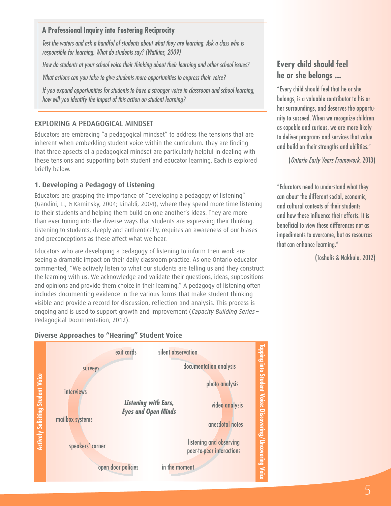#### **A Professional Inquiry into Fostering Reciprocity A Professional Inquiry into Fostering Reciprocity**

*Test the waters and ask a handful of students about what they are learning. Ask a class who is Test the waters and ask a handful of students about what they are learning. Ask a class who is responsible for learning. What do students say? (Watkins, 2009) responsible for learning. What do students say? (Watkins, 2009)*

*How do students at your school voice their thinking about their learning and other school issues? How do students at your school voice their thinking about their learning and other school issues?*

*What actions can you take to give students more opportunities to express their voice? What actions can you take to give students more opportunities to express their voice?*

*If you expand opportunities for students to have a stronger voice in classroom and school learning, If you expand opportunities for students to have a stronger voice in classroom and school learning, how will you identify the impact of this action on student learning? how will you identify the impact of this action on student learning?* 

#### EXPLORING A PEDAGOGICAL MINDSET

Educators are embracing "a pedagogical mindset" to address the tensions that are Educators are embracing "a pedagogical mindset" to address the tensions that are inherent when embedding student voice within the curriculum. They are finding inherent when embedding student voice within the curriculum. They are finding that three apsects of a pedagogical mindset are particularly helpful in dealing with that three apsects of a pedagogical mindset are particularly helpful in dealing with these tensions and supporting both student and educator learning. Each is explored these tensions and supporting both student and educator learning. Each is explored briefly below. briefly below.

#### **1. Developing a Pedagogy of Listening 1. Developing a Pedagogy of Listening**

Educators are grasping the importance of "developing a pedagogy of listening" Educators are grasping the importance of "developing a pedagogy of listening" (Gandini, L., & Kaminsky, 2004; Rinaldi, 2004), where they spend more time listening (Gandini, L., & Kaminsky, 2004; Rinaldi, 2004), where they spend more time listening to their students and helping them build on one another's ideas. They are more to their students and helping them build on one another's ideas. They are more than ever tuning into the diverse ways that students are expressing their thinking. than ever tuning into the diverse ways that students are expressing their thinking. Listening to students, deeply and authentically, requires an awareness of our biases Listening to students, deeply and authentically, requires an awareness of our biases and preconceptions as these affect what we hear. and preconceptions as these affect what we hear.

Educators who are developing a pedagogy of listening to inform their work are Educators who are developing a pedagogy of listening to inform their work are seeing a dramatic impact on their daily classroom practice. As one Ontario educator seeing a dramatic impact on their daily classroom practice. As one Ontario educator commented, "We actively listen to what our students are telling us and they construct commented, "We actively listen to what our students are telling us and they construct the learning with us. We acknowledge and validate their questions, ideas, suppositions the learning with us. We acknowledge and validate their questions, ideas, suppositions and opinions and provide them choice in their learning." A pedagogy of listening often and opinions and provide them choice in their learning." A pedagogy of listening often includes documenting evidence in the various forms that make student thinking includes documenting evidence in the various forms that make student thinking visible and provide a record for discussion, reflection and analysis. This process is visible and provide a record for discussion, reflection and analysis. This process is ongoing and is used to support growth and improvement (Capacity Building Series – ongoing and is used to support growth and improvement (Capacity Building Series – Pedagogical Documentation, 2012). Pedagogical Documentation, 2012).

#### **Diverse Approaches to "Hearing" Student Voice Diverse Approaches to "Hearing" Student Voice**



#### **Every child should feel Every child should feel he or she belongs ... he or she belongs ...**

"Every child should feel that he or she "Every child should feel that he or she belongs, is a valuable contributor to his or belongs, is a valuable contributor to his or her surroundings, and deserves the opportu-her surroundings, and deserves the opportunity to succeed. When we recognize children nity to succeed. When we recognize children as capable and curious, we are more likely as capable and curious, we are more likely to deliver programs and services that value to deliver programs and services that value and build on their strengths and abilities." and build on their strengths and abilities."

(Ontario Early Years Framework, 2013) (Ontario Early Years Framework, 2013)

"Educators need to understand what they "Educators need to understand what they can about the different social, economic, can about the different social, economic, and cultural contexts of their students and cultural contexts of their students and how these influence their efforts. It is and how these influence their efforts. It is beneficial to view these differences not as beneficial to view these differences not as impediments to overcome, but as resources impediments to overcome, but as resources that can enhance learning." that can enhance learning."

(Toshalis & Nakkula, 2012) (Toshalis & Nakkula, 2012)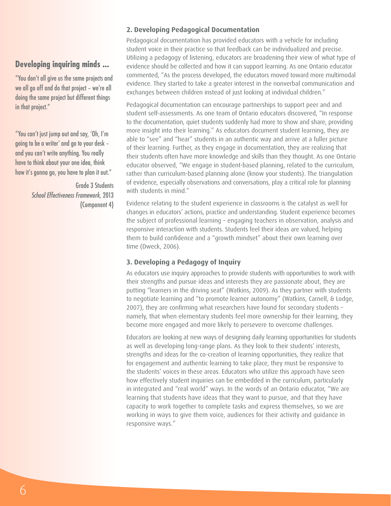#### **Developing inquiring minds ...**

"You don't all give us the same projects and we all go off and do that project – we're all doing the same project but different things in that project."

"You can't just jump out and say, 'Oh, I'm going to be a writer' and go to your desk – and you can't write anything. You really have to think about your one idea, think how it's gonna go, you have to plan it out."

> Grade 3 Students *School Effectiveness Framework*, 2013 (Component 4)

#### **2. Developing Pedagogical Documentation**

Pedagogical documentation has provided educators with a vehicle for including student voice in their practice so that feedback can be individualized and precise. Utilizing a pedagogy of listening, educators are broadening their view of what type of evidence should be collected and how it can support learning. As one Ontario educator commented, "As the process developed, the educators moved toward more multimodal evidence. They started to take a greater interest in the nonverbal communication and exchanges between children instead of just looking at individual children."

Pedagogical documentation can encourage partnerships to support peer and and student self-assessments. As one team of Ontario educators discovered, "In response to the documentation, quiet students suddenly had more to show and share, providing more insight into their learning." As educators document student learning, they are able to "see" and "hear" students in an authentic way and arrive at a fuller picture of their learning. Further, as they engage in documentation, they are realizing that their students often have more knowledge and skills than they thought. As one Ontario educator observed, "We engage in student-based planning, related to the curriculum, rather than curriculum-based planning alone (know your students). The triangulation of evidence, especially observations and conversations, play a critical role for planning with students in mind."

Evidence relating to the student experience in classrooms is the catalyst as well for changes in educators' actions, practice and understanding. Student experience becomes the subject of professional learning – engaging teachers in observation, analysis and responsive interaction with students. Students feel their ideas are valued, helping them to build confidence and a "growth mindset" about their own learning over time (Dweck, 2006).

#### **3. Developing a Pedagogy of Inquiry**

As educators use inquiry approaches to provide students with opportunities to work with their strengths and pursue ideas and interests they are passionate about, they are putting "learners in the driving seat" (Watkins, 2009). As they partner with students to negotiate learning and "to promote learner autonomy" (Watkins, Carnell, & Lodge, 2007), they are confirming what researchers have found for secondary students – namely, that when elementary students feel more ownership for their learning, they become more engaged and more likely to persevere to overcome challenges.

Educators are looking at new ways of designing daily learning opportunities for students as well as developing long-range plans. As they look to their students' interests, strengths and ideas for the co-creation of learning opportunities, they realize that for engagement and authentic learning to take place, they must be responsive to the students' voices in these areas. Educators who utilize this approach have seen how effectively student inquiries can be embedded in the curriculum, particularly in integrated and "real world" ways. In the words of an Ontario educator, "We are learning that students have ideas that they want to pursue, and that they have capacity to work together to complete tasks and express themselves, so we are working in ways to give them voice, audiences for their activity and guidance in responsive ways."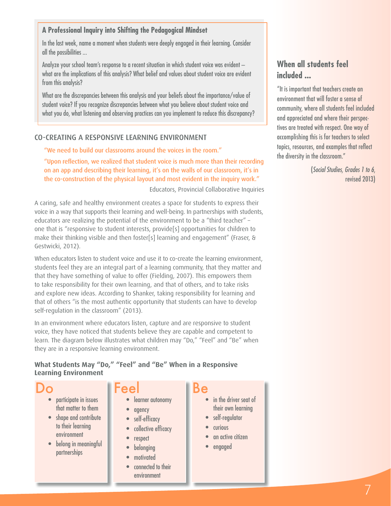#### **A Professional Inquiry into Shifting the Pedagogical Mindset**

In the last week, name a moment when students were deeply engaged in their learning. Consider all the possibilities ...

Analyze your school team's response to a recent situation in which student voice was evident – what are the implications of this analysis? What belief and values about student voice are evident from this analysis?

What are the discrepancies between this analysis and your beliefs about the importance/value of student voice? If you recognize discrepancies between what you believe about student voice and what you do, what listening and observing practices can you implement to reduce this discrepancy?

#### CO-CREATING A RESPONSIVE LEARNING ENVIRONMENT

"We need to build our classrooms around the voices in the room."

"Upon reflection, we realized that student voice is much more than their recording on an app and describing their learning, it's on the walls of our classroom, it's in the co-construction of the physical layout and most evident in the inquiry work."

Educators, Provincial Collaborative Inquiries

A caring, safe and healthy environment creates a space for students to express their voice in a way that supports their learning and well-being. In partnerships with students, educators are realizing the potential of the environment to be a "third teacher" – one that is "responsive to student interests, provide[s] opportunities for children to make their thinking visible and then foster[s] learning and engagement" (Fraser, & Gestwicki, 2012).

When educators listen to student voice and use it to co-create the learning environment, students feel they are an integral part of a learning community, that they matter and that they have something of value to offer (Fielding, 2007). This empowers them to take responsibility for their own learning, and that of others, and to take risks and explore new ideas. According to Shanker, taking responsibility for learning and that of others "is the most authentic opportunity that students can have to develop self-regulation in the classroom" (2013).

In an environment where educators listen, capture and are responsive to student voice, they have noticed that students believe they are capable and competent to learn. The diagram below illustrates what children may "Do," "Feel" and "Be" when they are in a responsive learning environment.

#### **What Students May "Do," "Feel" and "Be" When in a Responsive Learning Environment**

| DO                    | <b>Feel</b>      |  |
|-----------------------|------------------|--|
| participate in issues | learner autonomy |  |

- ate in issues that matter to them
- shape and contribute to their learning environment
- belong in meaningful partnerships

| learner autonomy |
|------------------|

- agency
- self-efficacy
- collective efficacy
- respect
- belonging
- motivated
- connected to their environment
- in the driver seat of their own learning
- self-regulator
- **curious**
- an active citizen
- engaged

#### **When all students feel included ...**

"It is important that teachers create an environment that will foster a sense of community, where all students feel included and appreciated and where their perspectives are treated with respect. One way of accomplishing this is for teachers to select topics, resources, and examples that reflect the diversity in the classroom."

> (*Social Studies, Grades 1 to 6*, revised 2013)